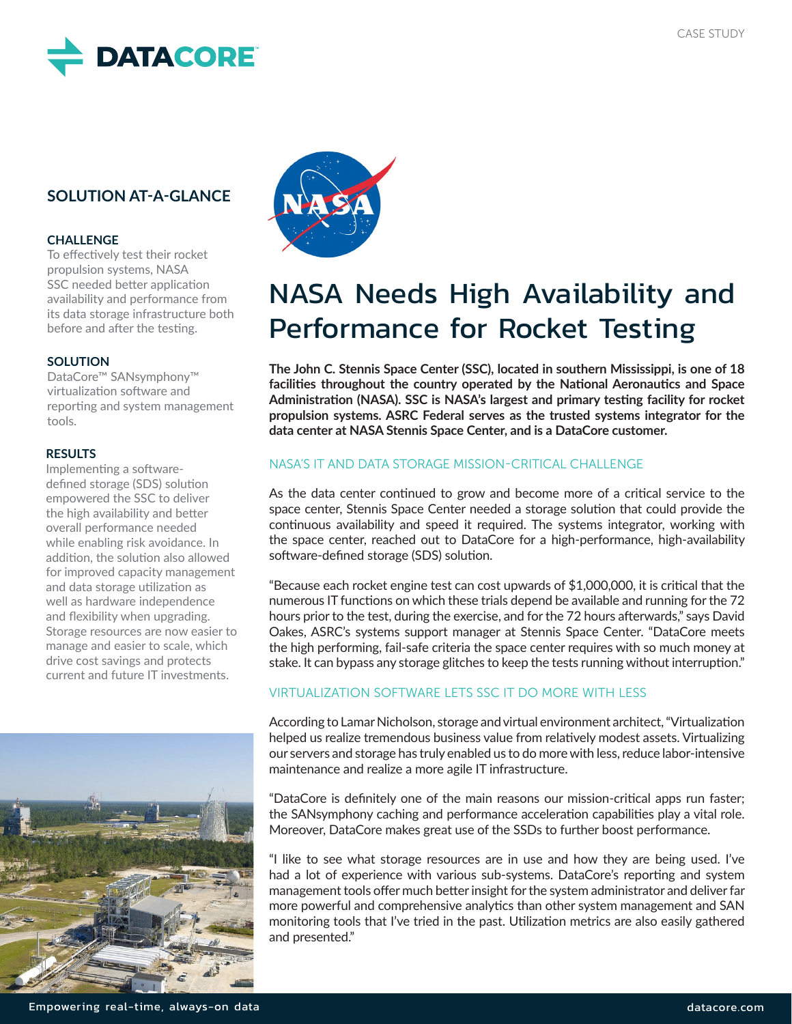

# **SOLUTION AT-A-GLANCE**

#### **CHALLENGE**

To effectively test their rocket propulsion systems, NASA SSC needed better application availability and performance from its data storage infrastructure both before and after the testing.

#### **SOLUTION**

DataCore™ SANsymphony™ virtualization software and reporting and system management tools.

#### **RESULTS**

Implementing a softwaredefined storage (SDS) solution empowered the SSC to deliver the high availability and better overall performance needed while enabling risk avoidance. In addition, the solution also allowed for improved capacity management and data storage utilization as well as hardware independence and flexibility when upgrading. Storage resources are now easier to manage and easier to scale, which drive cost savings and protects current and future IT investments.





# NASA Needs High Availability and Performance for Rocket Testing

**The John C. Stennis Space Center (SSC), located in southern Mississippi, is one of 18 facilities throughout the country operated by the National Aeronautics and Space Administration (NASA). SSC is NASA's largest and primary testing facility for rocket propulsion systems. ASRC Federal serves as the trusted systems integrator for the data center at NASA Stennis Space Center, and is a DataCore customer.** 

### NASA'S IT AND DATA STORAGE MISSION-CRITICAL CHALLENGE

As the data center continued to grow and become more of a critical service to the space center, Stennis Space Center needed a storage solution that could provide the continuous availability and speed it required. The systems integrator, working with the space center, reached out to DataCore for a high-performance, high-availability software-defined storage (SDS) solution.

"Because each rocket engine test can cost upwards of \$1,000,000, it is critical that the numerous IT functions on which these trials depend be available and running for the 72 hours prior to the test, during the exercise, and for the 72 hours afterwards," says David Oakes, ASRC's systems support manager at Stennis Space Center. "DataCore meets the high performing, fail-safe criteria the space center requires with so much money at stake. It can bypass any storage glitches to keep the tests running without interruption."

### VIRTUALIZATION SOFTWARE LETS SSC IT DO MORE WITH LESS

According to Lamar Nicholson, storage and virtual environment architect, "Virtualization helped us realize tremendous business value from relatively modest assets. Virtualizing our servers and storage has truly enabled us to do more with less, reduce labor-intensive maintenance and realize a more agile IT infrastructure.

"DataCore is definitely one of the main reasons our mission-critical apps run faster; the SANsymphony caching and performance acceleration capabilities play a vital role. Moreover, DataCore makes great use of the SSDs to further boost performance.

"I like to see what storage resources are in use and how they are being used. I've had a lot of experience with various sub-systems. DataCore's reporting and system management tools offer much better insight for the system administrator and deliver far more powerful and comprehensive analytics than other system management and SAN monitoring tools that I've tried in the past. Utilization metrics are also easily gathered and presented."